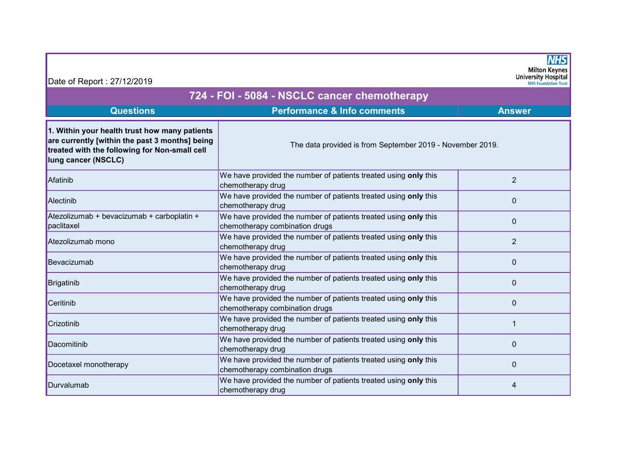| Date of Report: 27/12/2019                                                                                                                                              |                                                                                                   | <b>NHS</b><br><b>Milton Keynes</b><br><b>University Hospital</b><br><b>NHS Foundation Trust</b> |  |
|-------------------------------------------------------------------------------------------------------------------------------------------------------------------------|---------------------------------------------------------------------------------------------------|-------------------------------------------------------------------------------------------------|--|
| 724 - FOI - 5084 - NSCLC cancer chemotherapy                                                                                                                            |                                                                                                   |                                                                                                 |  |
| <b>Questions</b>                                                                                                                                                        | <b>Performance &amp; Info comments</b>                                                            | <b>Answer</b>                                                                                   |  |
| 1. Within your health trust how many patients<br>are currently [within the past 3 months] being<br>treated with the following for Non-small cell<br>lung cancer (NSCLC) | The data provided is from September 2019 - November 2019.                                         |                                                                                                 |  |
| Afatinib                                                                                                                                                                | We have provided the number of patients treated using only this<br>chemotherapy drug              | $\overline{2}$                                                                                  |  |
| Alectinib                                                                                                                                                               | We have provided the number of patients treated using only this<br>chemotherapy drug              | $\mathbf{0}$                                                                                    |  |
| Atezolizumab + bevacizumab + carboplatin +<br>paclitaxel                                                                                                                | We have provided the number of patients treated using only this<br>chemotherapy combination drugs | $\Omega$                                                                                        |  |
| Atezolizumab mono                                                                                                                                                       | We have provided the number of patients treated using only this<br>chemotherapy drug              | $\overline{2}$                                                                                  |  |
| Bevacizumab                                                                                                                                                             | We have provided the number of patients treated using only this<br>chemotherapy drug              | $\mathbf 0$                                                                                     |  |
| <b>Brigatinib</b>                                                                                                                                                       | We have provided the number of patients treated using only this<br>chemotherapy drug              | $\mathbf 0$                                                                                     |  |
| Ceritinib                                                                                                                                                               | We have provided the number of patients treated using only this<br>chemotherapy combination drugs | $\mathbf 0$                                                                                     |  |
| Crizotinib                                                                                                                                                              | We have provided the number of patients treated using only this<br>chemotherapy drug              |                                                                                                 |  |
| Dacomitinib                                                                                                                                                             | We have provided the number of patients treated using only this<br>chemotherapy drug              | $\mathbf 0$                                                                                     |  |
| Docetaxel monotherapy                                                                                                                                                   | We have provided the number of patients treated using only this<br>chemotherapy combination drugs | $\Omega$                                                                                        |  |
| Durvalumab                                                                                                                                                              | We have provided the number of patients treated using only this<br>chemotherapy drug              | 4                                                                                               |  |